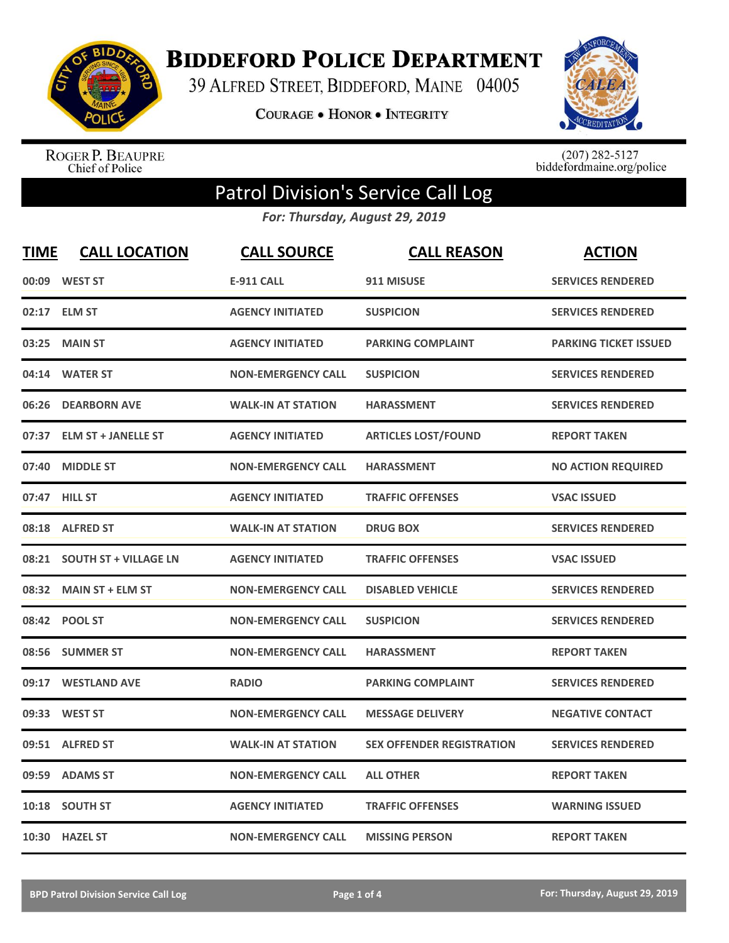

**BIDDEFORD POLICE DEPARTMENT** 

39 ALFRED STREET, BIDDEFORD, MAINE 04005

**COURAGE . HONOR . INTEGRITY** 



ROGER P. BEAUPRE<br>Chief of Police

 $(207)$  282-5127<br>biddefordmaine.org/police

## Patrol Division's Service Call Log

*For: Thursday, August 29, 2019*

| <b>TIME</b> | <b>CALL LOCATION</b>        | <b>CALL SOURCE</b>        | <b>CALL REASON</b>               | <b>ACTION</b>                |
|-------------|-----------------------------|---------------------------|----------------------------------|------------------------------|
| 00:09       | <b>WEST ST</b>              | <b>E-911 CALL</b>         | 911 MISUSE                       | <b>SERVICES RENDERED</b>     |
|             | 02:17 ELM ST                | <b>AGENCY INITIATED</b>   | <b>SUSPICION</b>                 | <b>SERVICES RENDERED</b>     |
| 03:25       | <b>MAIN ST</b>              | <b>AGENCY INITIATED</b>   | <b>PARKING COMPLAINT</b>         | <b>PARKING TICKET ISSUED</b> |
| 04:14       | <b>WATER ST</b>             | <b>NON-EMERGENCY CALL</b> | <b>SUSPICION</b>                 | <b>SERVICES RENDERED</b>     |
| 06:26       | <b>DEARBORN AVE</b>         | <b>WALK-IN AT STATION</b> | <b>HARASSMENT</b>                | <b>SERVICES RENDERED</b>     |
| 07:37       | <b>ELM ST + JANELLE ST</b>  | <b>AGENCY INITIATED</b>   | <b>ARTICLES LOST/FOUND</b>       | <b>REPORT TAKEN</b>          |
| 07:40       | <b>MIDDLE ST</b>            | <b>NON-EMERGENCY CALL</b> | <b>HARASSMENT</b>                | <b>NO ACTION REQUIRED</b>    |
|             | 07:47 HILL ST               | <b>AGENCY INITIATED</b>   | <b>TRAFFIC OFFENSES</b>          | <b>VSAC ISSUED</b>           |
|             | 08:18 ALFRED ST             | <b>WALK-IN AT STATION</b> | <b>DRUG BOX</b>                  | <b>SERVICES RENDERED</b>     |
|             | 08:21 SOUTH ST + VILLAGE LN | <b>AGENCY INITIATED</b>   | <b>TRAFFIC OFFENSES</b>          | <b>VSAC ISSUED</b>           |
|             | 08:32 MAIN ST + ELM ST      | <b>NON-EMERGENCY CALL</b> | <b>DISABLED VEHICLE</b>          | <b>SERVICES RENDERED</b>     |
|             | 08:42 POOL ST               | <b>NON-EMERGENCY CALL</b> | <b>SUSPICION</b>                 | <b>SERVICES RENDERED</b>     |
|             | 08:56 SUMMER ST             | <b>NON-EMERGENCY CALL</b> | <b>HARASSMENT</b>                | <b>REPORT TAKEN</b>          |
| 09:17       | <b>WESTLAND AVE</b>         | <b>RADIO</b>              | <b>PARKING COMPLAINT</b>         | <b>SERVICES RENDERED</b>     |
| 09:33       | <b>WEST ST</b>              | <b>NON-EMERGENCY CALL</b> | <b>MESSAGE DELIVERY</b>          | <b>NEGATIVE CONTACT</b>      |
|             | 09:51 ALFRED ST             | <b>WALK-IN AT STATION</b> | <b>SEX OFFENDER REGISTRATION</b> | <b>SERVICES RENDERED</b>     |
| 09:59       | <b>ADAMS ST</b>             | <b>NON-EMERGENCY CALL</b> | <b>ALL OTHER</b>                 | <b>REPORT TAKEN</b>          |
| 10:18       | <b>SOUTH ST</b>             | <b>AGENCY INITIATED</b>   | <b>TRAFFIC OFFENSES</b>          | <b>WARNING ISSUED</b>        |
|             | 10:30 HAZEL ST              | <b>NON-EMERGENCY CALL</b> | <b>MISSING PERSON</b>            | <b>REPORT TAKEN</b>          |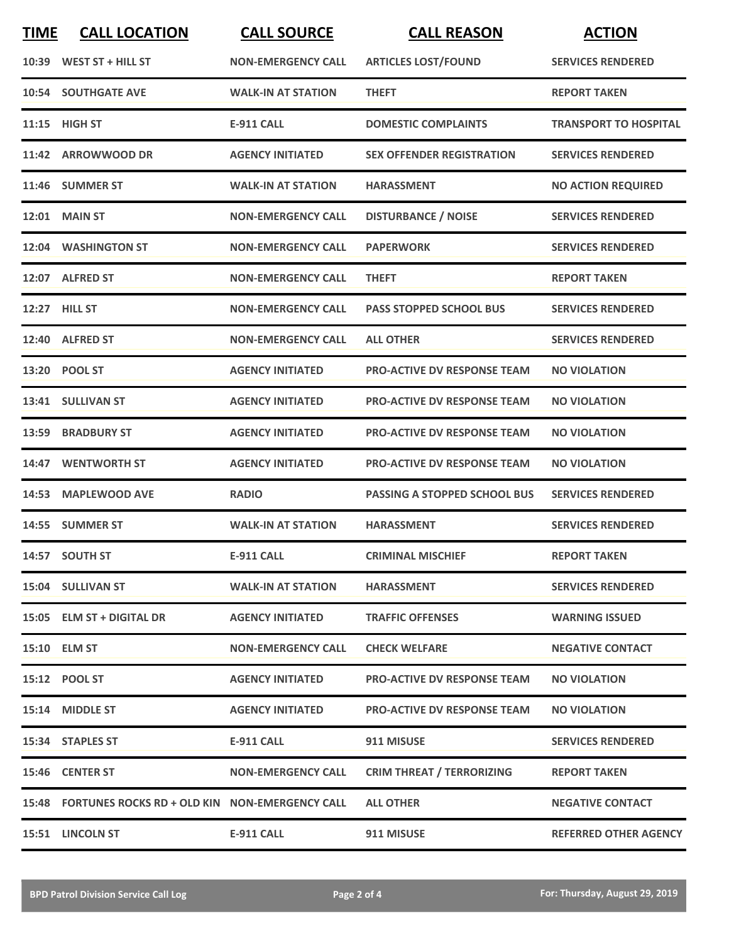| <b>TIME</b> | <b>CALL LOCATION</b>                                 | <b>CALL SOURCE</b>        | <b>CALL REASON</b>                  | <b>ACTION</b>                |
|-------------|------------------------------------------------------|---------------------------|-------------------------------------|------------------------------|
| 10:39       | WEST ST + HILL ST                                    | <b>NON-EMERGENCY CALL</b> | <b>ARTICLES LOST/FOUND</b>          | <b>SERVICES RENDERED</b>     |
| 10:54       | <b>SOUTHGATE AVE</b>                                 | <b>WALK-IN AT STATION</b> | <b>THEFT</b>                        | <b>REPORT TAKEN</b>          |
| 11:15       | <b>HIGH ST</b>                                       | <b>E-911 CALL</b>         | <b>DOMESTIC COMPLAINTS</b>          | <b>TRANSPORT TO HOSPITAL</b> |
| 11:42       | <b>ARROWWOOD DR</b>                                  | <b>AGENCY INITIATED</b>   | <b>SEX OFFENDER REGISTRATION</b>    | <b>SERVICES RENDERED</b>     |
|             | 11:46 SUMMER ST                                      | <b>WALK-IN AT STATION</b> | <b>HARASSMENT</b>                   | <b>NO ACTION REQUIRED</b>    |
|             | <b>12:01 MAIN ST</b>                                 | <b>NON-EMERGENCY CALL</b> | <b>DISTURBANCE / NOISE</b>          | <b>SERVICES RENDERED</b>     |
|             | 12:04 WASHINGTON ST                                  | <b>NON-EMERGENCY CALL</b> | <b>PAPERWORK</b>                    | <b>SERVICES RENDERED</b>     |
|             | 12:07 ALFRED ST                                      | <b>NON-EMERGENCY CALL</b> | <b>THEFT</b>                        | <b>REPORT TAKEN</b>          |
|             | 12:27 HILL ST                                        | <b>NON-EMERGENCY CALL</b> | <b>PASS STOPPED SCHOOL BUS</b>      | <b>SERVICES RENDERED</b>     |
| 12:40       | <b>ALFRED ST</b>                                     | <b>NON-EMERGENCY CALL</b> | <b>ALL OTHER</b>                    | <b>SERVICES RENDERED</b>     |
|             | 13:20 POOL ST                                        | <b>AGENCY INITIATED</b>   | <b>PRO-ACTIVE DV RESPONSE TEAM</b>  | <b>NO VIOLATION</b>          |
|             | 13:41 SULLIVAN ST                                    | <b>AGENCY INITIATED</b>   | <b>PRO-ACTIVE DV RESPONSE TEAM</b>  | <b>NO VIOLATION</b>          |
| 13:59       | <b>BRADBURY ST</b>                                   | <b>AGENCY INITIATED</b>   | <b>PRO-ACTIVE DV RESPONSE TEAM</b>  | <b>NO VIOLATION</b>          |
| 14:47       | <b>WENTWORTH ST</b>                                  | <b>AGENCY INITIATED</b>   | <b>PRO-ACTIVE DV RESPONSE TEAM</b>  | <b>NO VIOLATION</b>          |
| 14:53       | <b>MAPLEWOOD AVE</b>                                 | <b>RADIO</b>              | <b>PASSING A STOPPED SCHOOL BUS</b> | <b>SERVICES RENDERED</b>     |
|             | 14:55 SUMMER ST                                      | <b>WALK-IN AT STATION</b> | <b>HARASSMENT</b>                   | <b>SERVICES RENDERED</b>     |
|             | 14:57 SOUTH ST                                       | <b>E-911 CALL</b>         | <b>CRIMINAL MISCHIEF</b>            | <b>REPORT TAKEN</b>          |
|             | 15:04 SULLIVAN ST                                    | <b>WALK-IN AT STATION</b> | <b>HARASSMENT</b>                   | <b>SERVICES RENDERED</b>     |
|             | 15:05 ELM ST + DIGITAL DR                            | <b>AGENCY INITIATED</b>   | <b>TRAFFIC OFFENSES</b>             | <b>WARNING ISSUED</b>        |
|             | <b>15:10 ELM ST</b>                                  | <b>NON-EMERGENCY CALL</b> | <b>CHECK WELFARE</b>                | <b>NEGATIVE CONTACT</b>      |
|             | 15:12 POOL ST                                        | <b>AGENCY INITIATED</b>   | <b>PRO-ACTIVE DV RESPONSE TEAM</b>  | <b>NO VIOLATION</b>          |
|             | 15:14 MIDDLE ST                                      | <b>AGENCY INITIATED</b>   | <b>PRO-ACTIVE DV RESPONSE TEAM</b>  | <b>NO VIOLATION</b>          |
|             | 15:34 STAPLES ST                                     | <b>E-911 CALL</b>         | 911 MISUSE                          | <b>SERVICES RENDERED</b>     |
|             | 15:46 CENTER ST                                      | <b>NON-EMERGENCY CALL</b> | <b>CRIM THREAT / TERRORIZING</b>    | <b>REPORT TAKEN</b>          |
|             | 15:48 FORTUNES ROCKS RD + OLD KIN NON-EMERGENCY CALL |                           | <b>ALL OTHER</b>                    | <b>NEGATIVE CONTACT</b>      |
|             | 15:51 LINCOLN ST                                     | <b>E-911 CALL</b>         | 911 MISUSE                          | <b>REFERRED OTHER AGENCY</b> |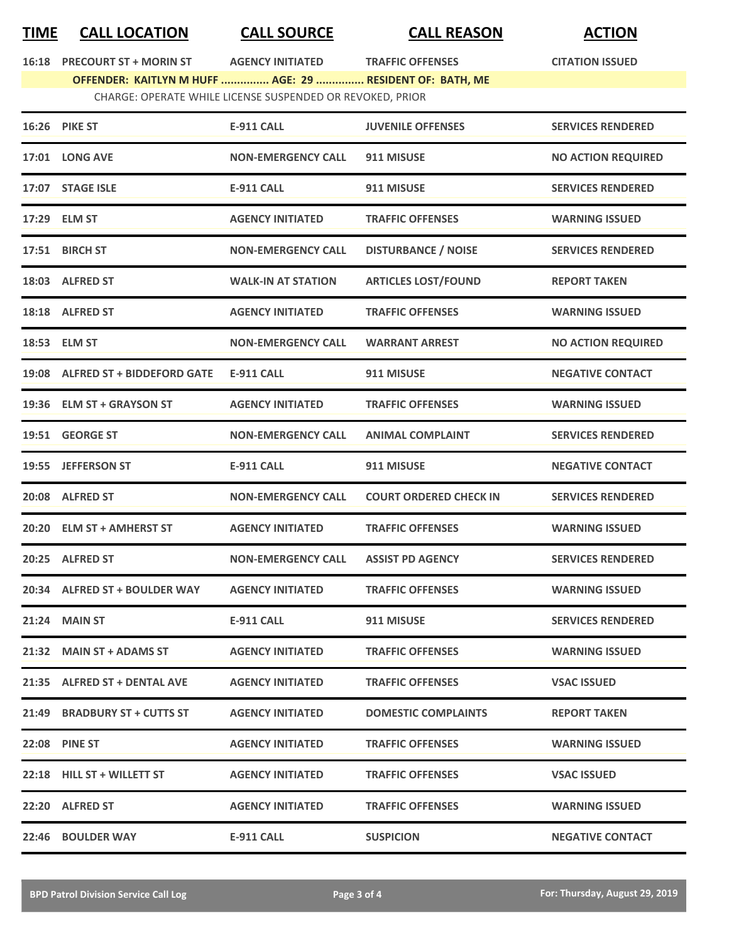## **TIME CALL LOCATION CALL SOURCE CALL REASON ACTION**

**16:18** PRECOURT ST + MORIN ST **AGENCY INITIATED** TRAFFIC OFFENSES **CITATION ISSUED OFFENDER: KAITLYN M HUFF ............... AGE: 29 ............... RESIDENT OF: BATH, ME**

|                                                           | OFFENDER: KAITLYN M HUFF  AGE: 29  RESIDENT OF: BATH, ME |                           |                               |                           |
|-----------------------------------------------------------|----------------------------------------------------------|---------------------------|-------------------------------|---------------------------|
| CHARGE: OPERATE WHILE LICENSE SUSPENDED OR REVOKED, PRIOR |                                                          |                           |                               |                           |
|                                                           | <b>16:26 PIKE ST</b>                                     | <b>E-911 CALL</b>         | <b>JUVENILE OFFENSES</b>      | <b>SERVICES RENDERED</b>  |
|                                                           | <b>17:01 LONG AVE</b>                                    | <b>NON-EMERGENCY CALL</b> | 911 MISUSE                    | <b>NO ACTION REQUIRED</b> |
|                                                           | 17:07 STAGE ISLE                                         | <b>E-911 CALL</b>         | 911 MISUSE                    | <b>SERVICES RENDERED</b>  |
|                                                           | 17:29 ELM ST                                             | <b>AGENCY INITIATED</b>   | <b>TRAFFIC OFFENSES</b>       | <b>WARNING ISSUED</b>     |
|                                                           | 17:51 BIRCH ST                                           | <b>NON-EMERGENCY CALL</b> | <b>DISTURBANCE / NOISE</b>    | <b>SERVICES RENDERED</b>  |
|                                                           | 18:03 ALFRED ST                                          | <b>WALK-IN AT STATION</b> | <b>ARTICLES LOST/FOUND</b>    | <b>REPORT TAKEN</b>       |
|                                                           | 18:18 ALFRED ST                                          | <b>AGENCY INITIATED</b>   | <b>TRAFFIC OFFENSES</b>       | <b>WARNING ISSUED</b>     |
|                                                           | 18:53 ELM ST                                             | <b>NON-EMERGENCY CALL</b> | <b>WARRANT ARREST</b>         | <b>NO ACTION REQUIRED</b> |
|                                                           | 19:08 ALFRED ST + BIDDEFORD GATE                         | <b>E-911 CALL</b>         | 911 MISUSE                    | <b>NEGATIVE CONTACT</b>   |
| 19:36                                                     | <b>ELM ST + GRAYSON ST</b>                               | <b>AGENCY INITIATED</b>   | <b>TRAFFIC OFFENSES</b>       | <b>WARNING ISSUED</b>     |
| 19:51                                                     | <b>GEORGE ST</b>                                         | <b>NON-EMERGENCY CALL</b> | <b>ANIMAL COMPLAINT</b>       | <b>SERVICES RENDERED</b>  |
| 19:55                                                     | <b>JEFFERSON ST</b>                                      | <b>E-911 CALL</b>         | 911 MISUSE                    | <b>NEGATIVE CONTACT</b>   |
|                                                           | 20:08 ALFRED ST                                          | <b>NON-EMERGENCY CALL</b> | <b>COURT ORDERED CHECK IN</b> | <b>SERVICES RENDERED</b>  |
|                                                           | 20:20 ELM ST + AMHERST ST                                | <b>AGENCY INITIATED</b>   | <b>TRAFFIC OFFENSES</b>       | <b>WARNING ISSUED</b>     |
| 20:25                                                     | <b>ALFRED ST</b>                                         | <b>NON-EMERGENCY CALL</b> | <b>ASSIST PD AGENCY</b>       | <b>SERVICES RENDERED</b>  |
| 20:34                                                     | <b>ALFRED ST + BOULDER WAY</b>                           | <b>AGENCY INITIATED</b>   | <b>TRAFFIC OFFENSES</b>       | <b>WARNING ISSUED</b>     |
|                                                           | 21:24 MAIN ST                                            | <b>E-911 CALL</b>         | 911 MISUSE                    | <b>SERVICES RENDERED</b>  |
|                                                           | 21:32 MAIN ST + ADAMS ST                                 | <b>AGENCY INITIATED</b>   | <b>TRAFFIC OFFENSES</b>       | <b>WARNING ISSUED</b>     |
|                                                           | 21:35 ALFRED ST + DENTAL AVE                             | <b>AGENCY INITIATED</b>   | <b>TRAFFIC OFFENSES</b>       | <b>VSAC ISSUED</b>        |
|                                                           | 21:49 BRADBURY ST + CUTTS ST                             | <b>AGENCY INITIATED</b>   | <b>DOMESTIC COMPLAINTS</b>    | <b>REPORT TAKEN</b>       |
|                                                           | <b>22:08 PINE ST</b>                                     | <b>AGENCY INITIATED</b>   | <b>TRAFFIC OFFENSES</b>       | <b>WARNING ISSUED</b>     |
|                                                           | 22:18 HILL ST + WILLETT ST                               | <b>AGENCY INITIATED</b>   | <b>TRAFFIC OFFENSES</b>       | <b>VSAC ISSUED</b>        |

**22:20 ALFRED ST AGENCY INITIATED TRAFFIC OFFENSES WARNING ISSUED**